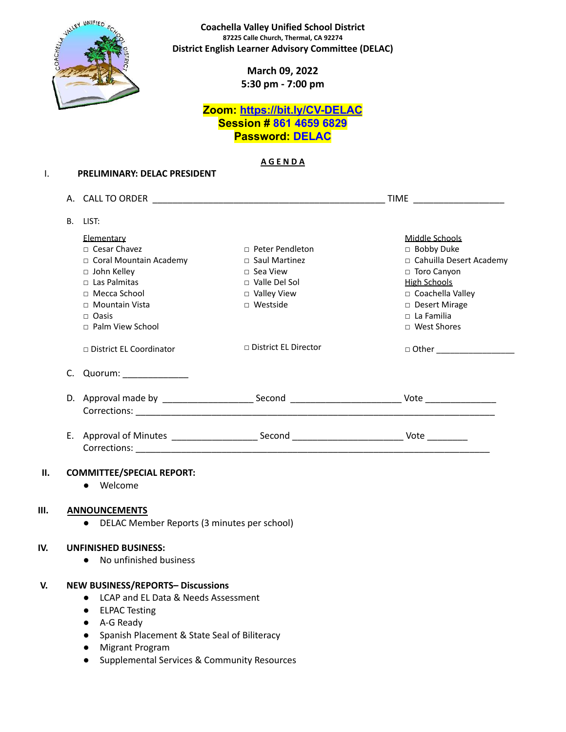

**Coachella Valley Unified School District 87225 Calle Church, Thermal, CA 92274 District English Learner Advisory Committee (DELAC)**

> **March 09, 2022 5:30 pm - 7:00 pm**

## **Zoom: <https://bit.ly/CV-DELAC> Session # 861 4659 6829 Password: DELAC**

#### **A G E N D A**

|                |                                  |                        | TIME ______________________ |  |  |
|----------------|----------------------------------|------------------------|-----------------------------|--|--|
| B <sub>1</sub> | LIST:                            |                        |                             |  |  |
|                | Elementary                       |                        | Middle Schools              |  |  |
|                | $\Box$ Cesar Chavez              | $\Box$ Peter Pendleton | □ Bobby Duke                |  |  |
|                | □ Coral Mountain Academy         | $\Box$ Saul Martinez   | □ Cahuilla Desert Academy   |  |  |
|                | $\Box$ John Kelley               | $\Box$ Sea View        | □ Toro Canyon               |  |  |
|                | □ Las Palmitas                   | $\Box$ Valle Del Sol   | <b>High Schools</b>         |  |  |
|                | $\Box$ Mecca School              | □ Valley View          | □ Coachella Valley          |  |  |
|                | □ Mountain Vista                 | □ Westside             | □ Desert Mirage             |  |  |
|                | $\Box$ Oasis                     |                        | $\Box$ La Familia           |  |  |
|                | $\Box$ Palm View School          |                        | □ West Shores               |  |  |
|                | □ District EL Coordinator        | □ District EL Director |                             |  |  |
|                | C. Quorum: ____________          |                        |                             |  |  |
|                |                                  |                        |                             |  |  |
|                |                                  |                        |                             |  |  |
|                |                                  |                        |                             |  |  |
|                |                                  |                        |                             |  |  |
|                | <b>COMMITTEE/SPECIAL REPORT:</b> |                        |                             |  |  |
|                | • Welcome                        |                        |                             |  |  |
|                |                                  |                        |                             |  |  |
|                | <b>ANNOUNCEMENTS</b>             |                        |                             |  |  |

#### **IV. UNFINISHED BUSINESS:**

● No unfinished business

#### **V. NEW BUSINESS/REPORTS– Discussions**

- LCAP and EL Data & Needs Assessment
- ELPAC Testing
- A-G Ready
- Spanish Placement & State Seal of Biliteracy
- Migrant Program
- Supplemental Services & Community Resources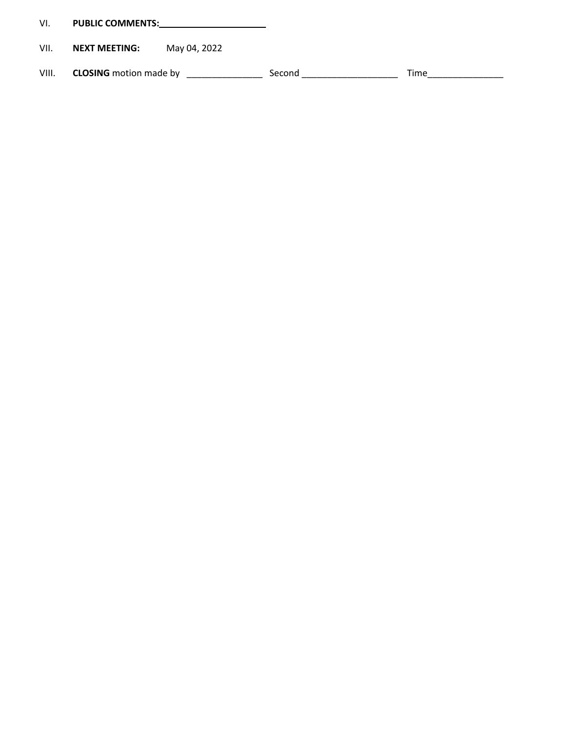| VI. | <b>PUBLIC COMMENTS:</b> |
|-----|-------------------------|
|     |                         |

# VII. **NEXT MEETING:** May 04, 2022

VIII. **CLOSING** motion made by \_\_\_\_\_\_\_\_\_\_\_\_\_\_\_ Second \_\_\_\_\_\_\_\_\_\_\_\_\_\_\_\_\_\_\_ Time\_\_\_\_\_\_\_\_\_\_\_\_\_\_\_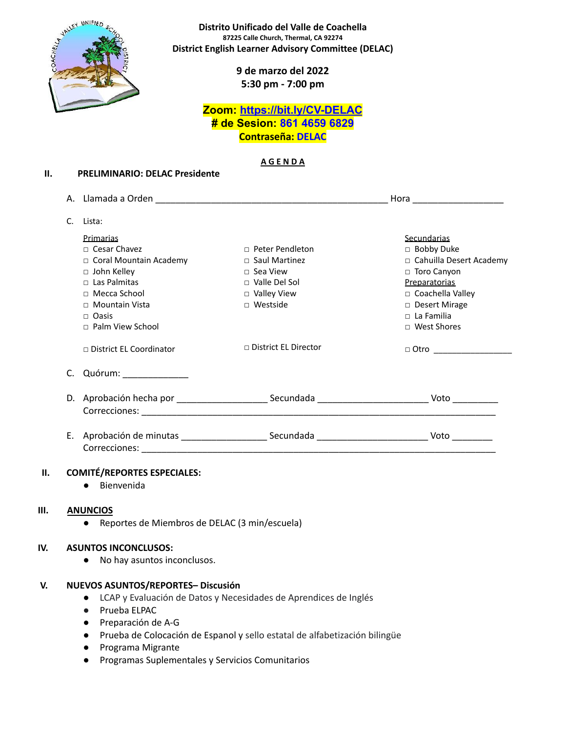

**Distrito Unificado del Valle de Coachella 87225 Calle Church, Thermal, CA 92274 District English Learner Advisory Committee (DELAC)**

> **9 de marzo del 2022 5:30 pm - 7:00 pm**

## **Zoom: <https://bit.ly/CV-DELAC> # de Sesion: 861 4659 6829 Contraseña: DELAC**

#### **A G E N D A**

|    |                                |                                                                                         | Hora _______________________ |
|----|--------------------------------|-----------------------------------------------------------------------------------------|------------------------------|
|    |                                |                                                                                         |                              |
| C. | Lista:                         |                                                                                         |                              |
|    | Primarias                      |                                                                                         | Secundarias                  |
|    | $\Box$ Cesar Chavez            | $\Box$ Peter Pendleton                                                                  | $\Box$ Bobby Duke            |
|    | $\Box$ Coral Mountain Academy  | $\Box$ Saul Martinez                                                                    | □ Cahuilla Desert Academy    |
|    | $\Box$ John Kelley             | $\Box$ Sea View                                                                         | $\Box$ Toro Canyon           |
|    | $\Box$ Las Palmitas            | $\Box$ Valle Del Sol                                                                    | Preparatorias                |
|    | $\Box$ Mecca School            | $\Box$ Valley View                                                                      | □ Coachella Valley           |
|    | $\Box$ Mountain Vista          | $\Box$ Westside                                                                         | □ Desert Mirage              |
|    | $\Box$ Oasis                   |                                                                                         | $\Box$ La Familia            |
|    | $\Box$ Palm View School        |                                                                                         | □ West Shores                |
|    | $\Box$ District EL Coordinator | $\Box$ District EL Director                                                             | □ Otro __________________    |
| C. | Quórum: _______________        |                                                                                         |                              |
|    |                                |                                                                                         |                              |
|    |                                |                                                                                         |                              |
| Ε. |                                | Aprobación de minutas ____________________________Secundada ___________________________ | Voto                         |
|    |                                |                                                                                         |                              |

### **II. COMITÉ/REPORTES ESPECIALES:**

● Bienvenida

#### **III. ANUNCIOS**

● Reportes de Miembros de DELAC (3 min/escuela)

#### **IV. ASUNTOS INCONCLUSOS:**

● No hay asuntos inconclusos.

#### **V. NUEVOS ASUNTOS/REPORTES– Discusión**

- LCAP y Evaluación de Datos y Necesidades de Aprendices de Inglés
- Prueba ELPAC
- Preparación de A-G
- Prueba de Colocación de Espanol y sello estatal de alfabetización bilingüe
- Programa Migrante
- Programas Suplementales y Servicios Comunitarios